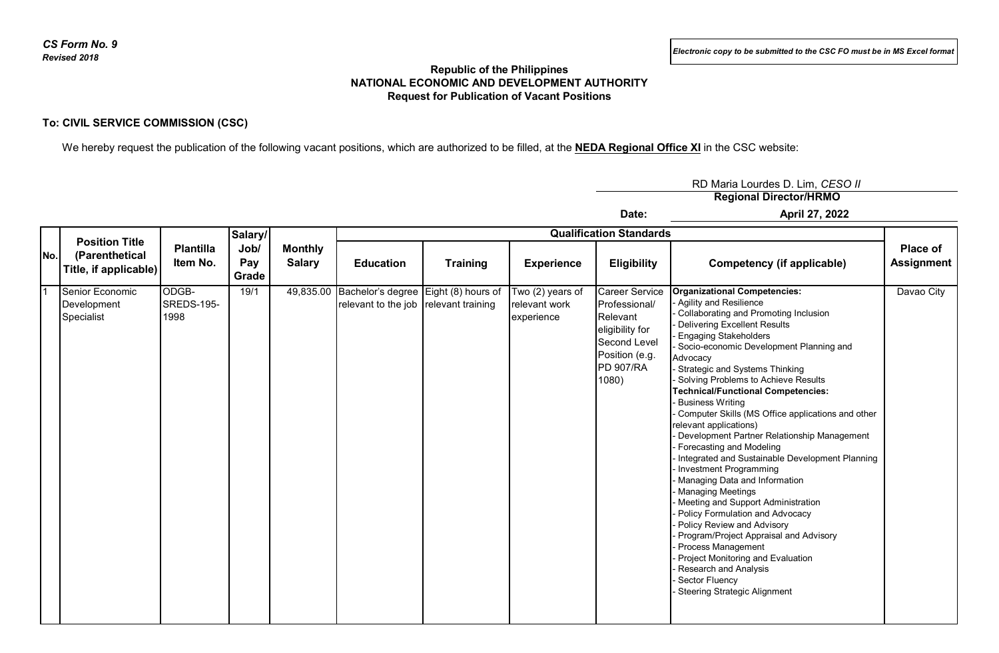## **Republic of the Philippines NATIONAL ECONOMIC AND DEVELOPMENT AUTHORITY Request for Publication of Vacant Positions**

## **To: CIVIL SERVICE COMMISSION (CSC)**

We hereby request the publication of the following vacant positions, which are authorized to be filled, at the **NEDA Regional Office XI** in the CSC website:

**Regional Director/HRMO** RD Maria Lourdes D. Lim, *CESO II*

**Date:**

**April 27, 2022**

| No. | <b>Position Title</b><br>(Parenthetical<br>Title, if applicable) | <b>Plantilla</b><br>Item No. | Salary/<br>Job/<br>Pay<br>Grade | <b>Monthly</b><br><b>Salary</b> | <b>Qualification Standards</b>                                                          |                 |                                                 |                                                                                                                                      |                                                                                                                                                                                                                                                                                                                                                                                                                                                                                                                                                                                                                                                                                                                                                                                                                                                                                                                                                                                                       |                               |
|-----|------------------------------------------------------------------|------------------------------|---------------------------------|---------------------------------|-----------------------------------------------------------------------------------------|-----------------|-------------------------------------------------|--------------------------------------------------------------------------------------------------------------------------------------|-------------------------------------------------------------------------------------------------------------------------------------------------------------------------------------------------------------------------------------------------------------------------------------------------------------------------------------------------------------------------------------------------------------------------------------------------------------------------------------------------------------------------------------------------------------------------------------------------------------------------------------------------------------------------------------------------------------------------------------------------------------------------------------------------------------------------------------------------------------------------------------------------------------------------------------------------------------------------------------------------------|-------------------------------|
|     |                                                                  |                              |                                 |                                 | <b>Education</b>                                                                        | <b>Training</b> | <b>Experience</b>                               | <b>Eligibility</b>                                                                                                                   | Competency (if applicable)                                                                                                                                                                                                                                                                                                                                                                                                                                                                                                                                                                                                                                                                                                                                                                                                                                                                                                                                                                            | Place of<br><b>Assignment</b> |
|     | Senior Economic<br>Development<br>Specialist                     | ODGB-<br>SREDS-195-<br>1998  | 19/1                            |                                 | 49,835.00 Bachelor's degree Eight (8) hours of<br>relevant to the job relevant training |                 | Two (2) years of<br>relevant work<br>experience | <b>Career Service</b><br>Professional/<br>Relevant<br>eligibility for<br>Second Level<br>Position (e.g.<br><b>PD 907/RA</b><br>1080) | <b>Organizational Competencies:</b><br>Agility and Resilience<br>Collaborating and Promoting Inclusion<br><b>Delivering Excellent Results</b><br><b>Engaging Stakeholders</b><br>Socio-economic Development Planning and<br>Advocacy<br>- Strategic and Systems Thinking<br>- Solving Problems to Achieve Results<br><b>Technical/Functional Competencies:</b><br><b>Business Writing</b><br>Computer Skills (MS Office applications and other<br>relevant applications)<br>Development Partner Relationship Management<br>Forecasting and Modeling<br>Integrated and Sustainable Development Planning<br>Investment Programming<br>Managing Data and Information<br>- Managing Meetings<br>- Meeting and Support Administration<br><b>Policy Formulation and Advocacy</b><br><b>Policy Review and Advisory</b><br>Program/Project Appraisal and Advisory<br>Process Management<br>Project Monitoring and Evaluation<br>- Research and Analysis<br>- Sector Fluency<br>- Steering Strategic Alignment | Davao City                    |